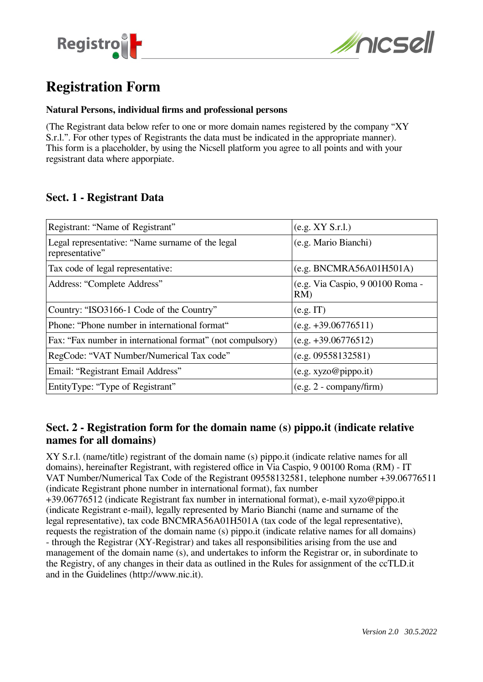



# **Registration Form**

#### **Natural Persons, individual firms and professional persons**

(The Registrant data below refer to one or more domain names registered by the company "XY S.r.l.". For other types of Registrants the data must be indicated in the appropriate manner). This form is a placeholder, by using the Nicsell platform you agree to all points and with your regsistrant data where apporpiate.

#### **Sect. 1 - Registrant Data**

| Registrant: "Name of Registrant"                                    | (e.g. XY S.r.l.)                       |
|---------------------------------------------------------------------|----------------------------------------|
| Legal representative: "Name surname of the legal<br>representative" | (e.g. Mario Bianchi)                   |
| Tax code of legal representative:                                   | (e.g. BNCMRA56A01H501A)                |
| Address: "Complete Address"                                         | (e.g. Via Caspio, 9 00100 Roma -<br>RM |
| Country: "ISO3166-1 Code of the Country"                            | (e.g. IT)                              |
| Phone: "Phone number in international format"                       | $(e.g. +39.06776511)$                  |
| Fax: "Fax number in international format" (not compulsory)          | $(e.g. +39.06776512)$                  |
| RegCode: "VAT Number/Numerical Tax code"                            | (e.g. 09558132581)                     |
| Email: "Registrant Email Address"                                   | (e.g. xyzo@pipo.it)                    |
| EntityType: "Type of Registrant"                                    | $(e.g. 2 - company/firm)$              |

### **Sect. 2 - Registration form for the domain name (s) pippo.it (indicate relative names for all domains)**

XY S.r.l. (name/title) registrant of the domain name (s) pippo.it (indicate relative names for all domains), hereinafter Registrant, with registered office in Via Caspio, 9 00100 Roma (RM) - IT VAT Number/Numerical Tax Code of the Registrant 09558132581, telephone number +39.06776511 (indicate Registrant phone number in international format), fax number

+39.06776512 (indicate Registrant fax number in international format), e-mail xyzo@pippo.it (indicate Registrant e-mail), legally represented by Mario Bianchi (name and surname of the legal representative), tax code BNCMRA56A01H501A (tax code of the legal representative), requests the registration of the domain name (s) pippo.it (indicate relative names for all domains) - through the Registrar (XY-Registrar) and takes all responsibilities arising from the use and management of the domain name (s), and undertakes to inform the Registrar or, in subordinate to the Registry, of any changes in their data as outlined in the Rules for assignment of the ccTLD.it and in the Guidelines (http://www.nic.it).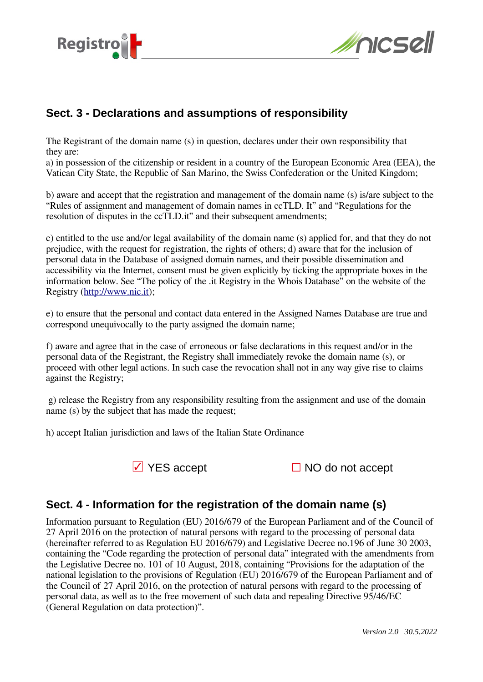



## **Sect. 3 - Declarations and assumptions of responsibility**

The Registrant of the domain name (s) in question, declares under their own responsibility that they are:

a) in possession of the citizenship or resident in a country of the European Economic Area (EEA), the Vatican City State, the Republic of San Marino, the Swiss Confederation or the United Kingdom;

b) aware and accept that the registration and management of the domain name (s) is/are subject to the "Rules of assignment and management of domain names in ccTLD. It" and "Regulations for the resolution of disputes in the ccTLD.it" and their subsequent amendments;

c) entitled to the use and/or legal availability of the domain name (s) applied for, and that they do not prejudice, with the request for registration, the rights of others; d) aware that for the inclusion of personal data in the Database of assigned domain names, and their possible dissemination and accessibility via the Internet, consent must be given explicitly by ticking the appropriate boxes in the information below. See "The policy of the .it Registry in the Whois Database" on the website of the Registry [\(http://www.nic.it](http://www.nic.it/));

e) to ensure that the personal and contact data entered in the Assigned Names Database are true and correspond unequivocally to the party assigned the domain name;

f) aware and agree that in the case of erroneous or false declarations in this request and/or in the personal data of the Registrant, the Registry shall immediately revoke the domain name (s), or proceed with other legal actions. In such case the revocation shall not in any way give rise to claims against the Registry;

 g) release the Registry from any responsibility resulting from the assignment and use of the domain name (s) by the subject that has made the request;

h) accept Italian jurisdiction and laws of the Italian State Ordinance



☑ YES accept ☐ NO do not accept

### **Sect. 4 - Information for the registration of the domain name (s)**

Information pursuant to Regulation (EU) 2016/679 of the European Parliament and of the Council of 27 April 2016 on the protection of natural persons with regard to the processing of personal data (hereinafter referred to as Regulation EU 2016/679) and Legislative Decree no.196 of June 30 2003, containing the "Code regarding the protection of personal data" integrated with the amendments from the Legislative Decree no. 101 of 10 August, 2018, containing "Provisions for the adaptation of the national legislation to the provisions of Regulation (EU) 2016/679 of the European Parliament and of the Council of 27 April 2016, on the protection of natural persons with regard to the processing of personal data, as well as to the free movement of such data and repealing Directive 95/46/EC (General Regulation on data protection)".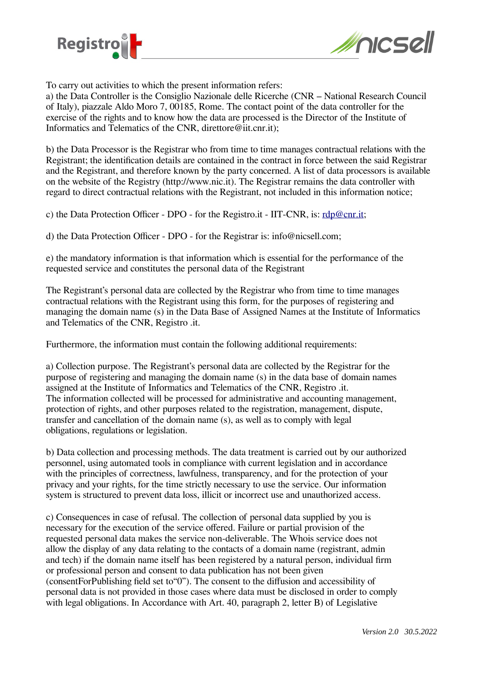



To carry out activities to which the present information refers:

a) the Data Controller is the Consiglio Nazionale delle Ricerche (CNR – National Research Council of Italy), piazzale Aldo Moro 7, 00185, Rome. The contact point of the data controller for the exercise of the rights and to know how the data are processed is the Director of the Institute of Informatics and Telematics of the CNR, direttore@iit.cnr.it);

b) the Data Processor is the Registrar who from time to time manages contractual relations with the Registrant; the identification details are contained in the contract in force between the said Registrar and the Registrant, and therefore known by the party concerned. A list of data processors is available on the website of the Registry (http://www.nic.it). The Registrar remains the data controller with regard to direct contractual relations with the Registrant, not included in this information notice;

c) the Data Protection Officer - DPO - for the Registro.it - IIT-CNR, is: [rdp@cnr.it](mailto:rdp@cnr.it);

d) the Data Protection Officer - DPO - for the Registrar is: info@nicsell.com;

e) the mandatory information is that information which is essential for the performance of the requested service and constitutes the personal data of the Registrant

The Registrant's personal data are collected by the Registrar who from time to time manages contractual relations with the Registrant using this form, for the purposes of registering and managing the domain name (s) in the Data Base of Assigned Names at the Institute of Informatics and Telematics of the CNR, Registro .it.

Furthermore, the information must contain the following additional requirements:

a) Collection purpose. The Registrant's personal data are collected by the Registrar for the purpose of registering and managing the domain name (s) in the data base of domain names assigned at the Institute of Informatics and Telematics of the CNR, Registro .it. The information collected will be processed for administrative and accounting management, protection of rights, and other purposes related to the registration, management, dispute, transfer and cancellation of the domain name (s), as well as to comply with legal obligations, regulations or legislation.

b) Data collection and processing methods. The data treatment is carried out by our authorized personnel, using automated tools in compliance with current legislation and in accordance with the principles of correctness, lawfulness, transparency, and for the protection of your privacy and your rights, for the time strictly necessary to use the service. Our information system is structured to prevent data loss, illicit or incorrect use and unauthorized access.

c) Consequences in case of refusal. The collection of personal data supplied by you is necessary for the execution of the service offered. Failure or partial provision of the requested personal data makes the service non-deliverable. The Whois service does not allow the display of any data relating to the contacts of a domain name (registrant, admin and tech) if the domain name itself has been registered by a natural person, individual firm or professional person and consent to data publication has not been given (consentForPublishing field set to"0"). The consent to the diffusion and accessibility of personal data is not provided in those cases where data must be disclosed in order to comply with legal obligations. In Accordance with Art. 40, paragraph 2, letter B) of Legislative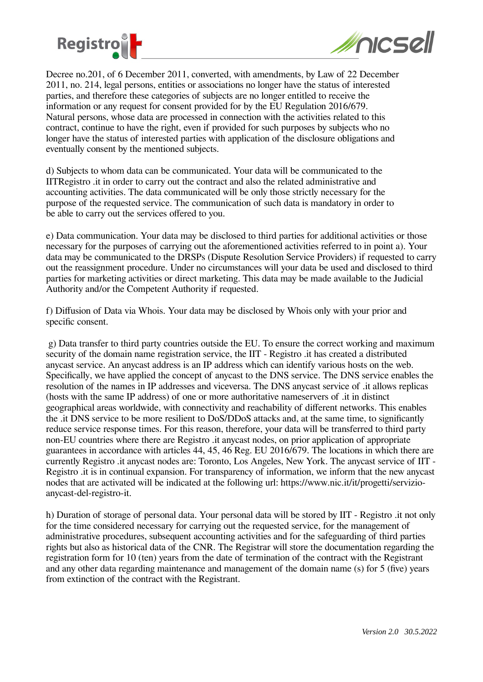



Decree no.201, of 6 December 2011, converted, with amendments, by Law of 22 December 2011, no. 214, legal persons, entities or associations no longer have the status of interested parties, and therefore these categories of subjects are no longer entitled to receive the information or any request for consent provided for by the EU Regulation 2016/679. Natural persons, whose data are processed in connection with the activities related to this contract, continue to have the right, even if provided for such purposes by subjects who no longer have the status of interested parties with application of the disclosure obligations and eventually consent by the mentioned subjects.

d) Subjects to whom data can be communicated. Your data will be communicated to the IITRegistro .it in order to carry out the contract and also the related administrative and accounting activities. The data communicated will be only those strictly necessary for the purpose of the requested service. The communication of such data is mandatory in order to be able to carry out the services offered to you.

e) Data communication. Your data may be disclosed to third parties for additional activities or those necessary for the purposes of carrying out the aforementioned activities referred to in point a). Your data may be communicated to the DRSPs (Dispute Resolution Service Providers) if requested to carry out the reassignment procedure. Under no circumstances will your data be used and disclosed to third parties for marketing activities or direct marketing. This data may be made available to the Judicial Authority and/or the Competent Authority if requested.

f) Diffusion of Data via Whois. Your data may be disclosed by Whois only with your prior and specific consent.

 g) Data transfer to third party countries outside the EU. To ensure the correct working and maximum security of the domain name registration service, the IIT - Registro .it has created a distributed anycast service. An anycast address is an IP address which can identify various hosts on the web. Specifically, we have applied the concept of anycast to the DNS service. The DNS service enables the resolution of the names in IP addresses and viceversa. The DNS anycast service of .it allows replicas (hosts with the same IP address) of one or more authoritative nameservers of .it in distinct geographical areas worldwide, with connectivity and reachability of different networks. This enables the .it DNS service to be more resilient to DoS/DDoS attacks and, at the same time, to significantly reduce service response times. For this reason, therefore, your data will be transferred to third party non-EU countries where there are Registro .it anycast nodes, on prior application of appropriate guarantees in accordance with articles 44, 45, 46 Reg. EU 2016/679. The locations in which there are currently Registro .it anycast nodes are: Toronto, Los Angeles, New York. The anycast service of IIT - Registro .it is in continual expansion. For transparency of information, we inform that the new anycast nodes that are activated will be indicated at the following url: https://www.nic.it/it/progetti/servizioanycast-del-registro-it.

h) Duration of storage of personal data. Your personal data will be stored by IIT - Registro .it not only for the time considered necessary for carrying out the requested service, for the management of administrative procedures, subsequent accounting activities and for the safeguarding of third parties rights but also as historical data of the CNR. The Registrar will store the documentation regarding the registration form for 10 (ten) years from the date of termination of the contract with the Registrant and any other data regarding maintenance and management of the domain name (s) for 5 (five) years from extinction of the contract with the Registrant.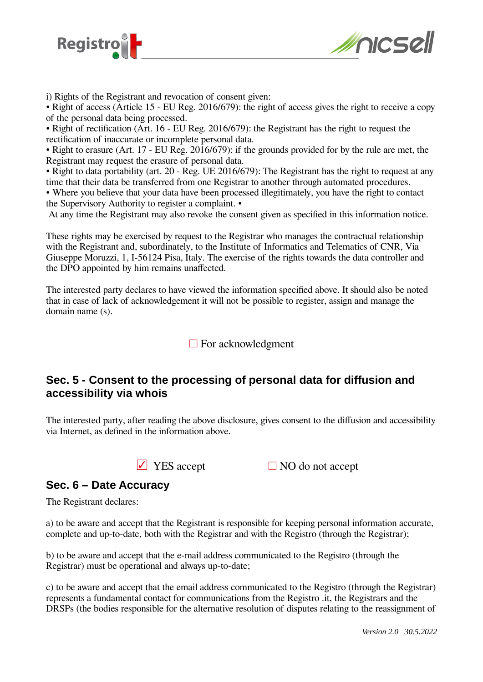



i) Rights of the Registrant and revocation of consent given:

• Right of access (Article 15 - EU Reg. 2016/679): the right of access gives the right to receive a copy of the personal data being processed.

• Right of rectification (Art. 16 - EU Reg. 2016/679): the Registrant has the right to request the rectification of inaccurate or incomplete personal data.

• Right to erasure (Art. 17 - EU Reg. 2016/679): if the grounds provided for by the rule are met, the Registrant may request the erasure of personal data.

• Right to data portability (art. 20 - Reg. UE 2016/679): The Registrant has the right to request at any time that their data be transferred from one Registrar to another through automated procedures.

• Where you believe that your data have been processed illegitimately, you have the right to contact the Supervisory Authority to register a complaint. •

At any time the Registrant may also revoke the consent given as specified in this information notice.

These rights may be exercised by request to the Registrar who manages the contractual relationship with the Registrant and, subordinately, to the Institute of Informatics and Telematics of CNR, Via Giuseppe Moruzzi, 1, I-56124 Pisa, Italy. The exercise of the rights towards the data controller and the DPO appointed by him remains unaffected.

The interested party declares to have viewed the information specified above. It should also be noted that in case of lack of acknowledgement it will not be possible to register, assign and manage the domain name (s).

 $\Box$  For acknowledgment

### **Sec. 5 - Consent to the processing of personal data for diffusion and accessibility via whois**

The interested party, after reading the above disclosure, gives consent to the diffusion and accessibility via Internet, as defined in the information above.

 $\Box$  YES accept  $\Box$  NO do not accept

#### **Sec. 6 – Date Accuracy**

The Registrant declares:

a) to be aware and accept that the Registrant is responsible for keeping personal information accurate, complete and up-to-date, both with the Registrar and with the Registro (through the Registrar);

b) to be aware and accept that the e-mail address communicated to the Registro (through the Registrar) must be operational and always up-to-date;

c) to be aware and accept that the email address communicated to the Registro (through the Registrar) represents a fundamental contact for communications from the Registro .it, the Registrars and the DRSPs (the bodies responsible for the alternative resolution of disputes relating to the reassignment of